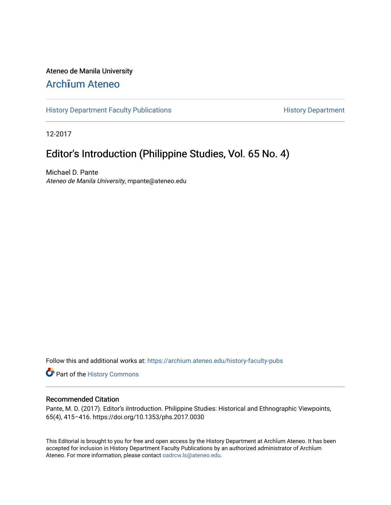### Ateneo de Manila University

## Arch**ī**[um Ateneo](https://archium.ateneo.edu/)

[History Department Faculty Publications](https://archium.ateneo.edu/history-faculty-pubs) **History Department** History Department

12-2017

## Editor's Introduction (Philippine Studies, Vol. 65 No. 4)

Michael D. Pante Ateneo de Manila University, mpante@ateneo.edu

Follow this and additional works at: [https://archium.ateneo.edu/history-faculty-pubs](https://archium.ateneo.edu/history-faculty-pubs?utm_source=archium.ateneo.edu%2Fhistory-faculty-pubs%2F74&utm_medium=PDF&utm_campaign=PDFCoverPages)

Part of the [History Commons](http://network.bepress.com/hgg/discipline/489?utm_source=archium.ateneo.edu%2Fhistory-faculty-pubs%2F74&utm_medium=PDF&utm_campaign=PDFCoverPages) 

#### Recommended Citation

Pante, M. D. (2017). Editor's iIntroduction. Philippine Studies: Historical and Ethnographic Viewpoints, 65(4), 415–416. https://doi.org/10.1353/phs.2017.0030

This Editorial is brought to you for free and open access by the History Department at Archīum Ateneo. It has been accepted for inclusion in History Department Faculty Publications by an authorized administrator of Archīum Ateneo. For more information, please contact [oadrcw.ls@ateneo.edu.](mailto:oadrcw.ls@ateneo.edu)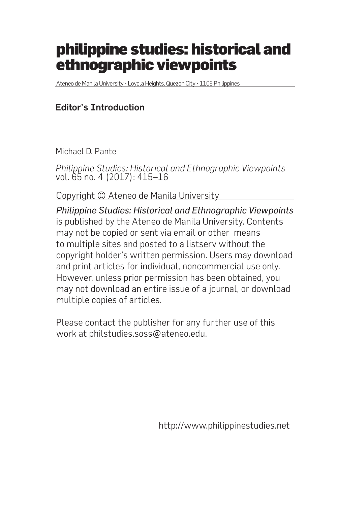# philippine studies: historical and ethnographic viewpoints

Ateneo de Manila University • Loyola Heights, Quezon City • 1108 Philippines

### Editor's Introduction

Michael D. Pante

*Philippine Studies: Historical and Ethnographic Viewpoints* vol. 65 no. 4 (2017): 415–16

Copyright © Ateneo de Manila University

*Philippine Studies: Historical and Ethnographic Viewpoints* is published by the Ateneo de Manila University. Contents may not be copied or sent via email or other means to multiple sites and posted to a listserv without the copyright holder's written permission. Users may download and print articles for individual, noncommercial use only. However, unless prior permission has been obtained, you may not download an entire issue of a journal, or download multiple copies of articles.

Please contact the publisher for any further use of this work at philstudies.soss@ateneo.edu.

http://www.philippinestudies.net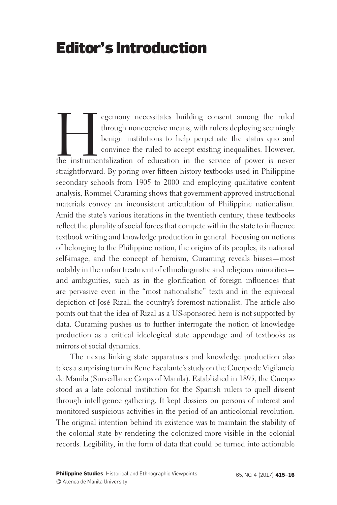# Editor's Introduction

egemony necessitates building consent among the ruled<br>through noncoercive means, with rulers deploying seemingly<br>benign institutions to help perpetuate the status quo and<br>convince the ruled to accept existing inequalities. through noncoercive means, with rulers deploying seemingly benign institutions to help perpetuate the status quo and convince the ruled to accept existing inequalities. However, the instrumentalization of education in the service of power is never straightforward. By poring over fifteen history textbooks used in Philippine secondary schools from 1905 to 2000 and employing qualitative content analysis, Rommel Curaming shows that government-approved instructional materials convey an inconsistent articulation of Philippine nationalism. Amid the state's various iterations in the twentieth century, these textbooks reflect the plurality of social forces that compete within the state to influence textbook writing and knowledge production in general. Focusing on notions of belonging to the Philippine nation, the origins of its peoples, its national self-image, and the concept of heroism, Curaming reveals biases—most notably in the unfair treatment of ethnolinguistic and religious minorities and ambiguities, such as in the glorification of foreign influences that are pervasive even in the "most nationalistic" texts and in the equivocal depiction of José Rizal, the country's foremost nationalist. The article also points out that the idea of Rizal as a US-sponsored hero is not supported by data. Curaming pushes us to further interrogate the notion of knowledge production as a critical ideological state appendage and of textbooks as mirrors of social dynamics.

The nexus linking state apparatuses and knowledge production also takes a surprising turn in Rene Escalante's study on the Cuerpo de Vigilancia de Manila (Surveillance Corps of Manila). Established in 1895, the Cuerpo stood as a late colonial institution for the Spanish rulers to quell dissent through intelligence gathering. It kept dossiers on persons of interest and monitored suspicious activities in the period of an anticolonial revolution. The original intention behind its existence was to maintain the stability of the colonial state by rendering the colonized more visible in the colonial records. Legibility, in the form of data that could be turned into actionable